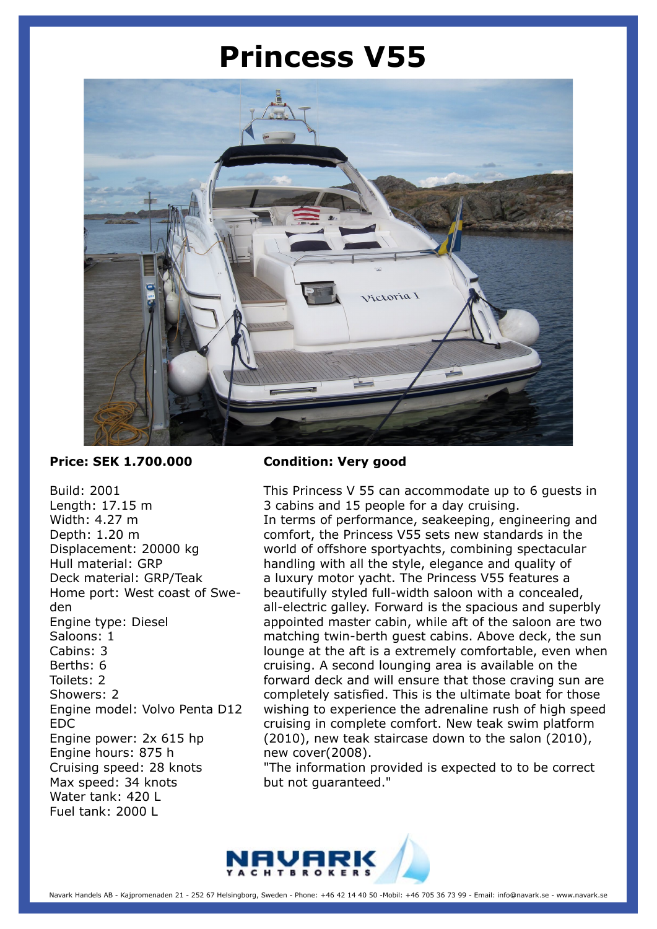## **Princess V55**



## **Price: SEK 1.700.000**

Build: 2001 Length: 17.15 m Width: 4.27 m Depth: 1.20 m Displacement: 20000 kg Hull material: GRP Deck material: GRP/Teak Home port: West coast of Sweden Engine type: Diesel Saloons: 1 Cabins: 3 Berths: 6 Toilets: 2 Showers: 2 Engine model: Volvo Penta D12 EDC Engine power: 2x 615 hp Engine hours: 875 h Cruising speed: 28 knots Max speed: 34 knots Water tank: 420 L Fuel tank: 2000 L

## **Condition: Very good**

This Princess V 55 can accommodate up to 6 guests in 3 cabins and 15 people for a day cruising. In terms of performance, seakeeping, engineering and comfort, the Princess V55 sets new standards in the world of offshore sportyachts, combining spectacular handling with all the style, elegance and quality of a luxury motor yacht. The Princess V55 features a beautifully styled full-width saloon with a concealed, all-electric galley. Forward is the spacious and superbly appointed master cabin, while aft of the saloon are two matching twin-berth guest cabins. Above deck, the sun lounge at the aft is a extremely comfortable, even when cruising. A second lounging area is available on the forward deck and will ensure that those craving sun are completely satisfied. This is the ultimate boat for those wishing to experience the adrenaline rush of high speed cruising in complete comfort. New teak swim platform (2010), new teak staircase down to the salon (2010), new cover(2008).

"The information provided is expected to to be correct but not guaranteed."